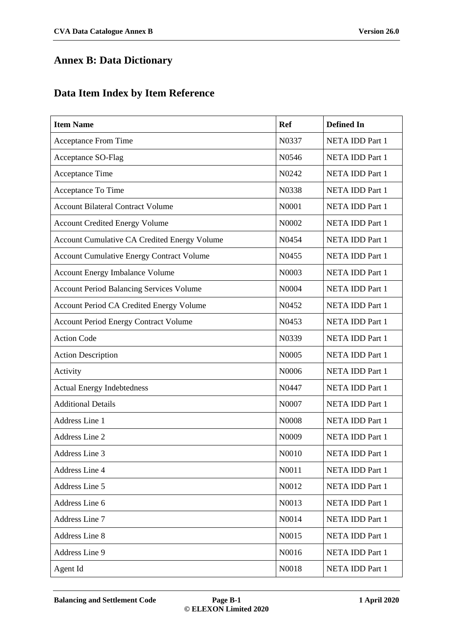## **Annex B: Data Dictionary**

## **Data Item Index by Item Reference**

| <b>Item Name</b>                                    | <b>Ref</b> | <b>Defined In</b>      |
|-----------------------------------------------------|------------|------------------------|
| <b>Acceptance From Time</b>                         | N0337      | <b>NETA IDD Part 1</b> |
| Acceptance SO-Flag                                  | N0546      | <b>NETA IDD Part 1</b> |
| Acceptance Time                                     | N0242      | NETA IDD Part 1        |
| Acceptance To Time                                  | N0338      | <b>NETA IDD Part 1</b> |
| <b>Account Bilateral Contract Volume</b>            | N0001      | <b>NETA IDD Part 1</b> |
| <b>Account Credited Energy Volume</b>               | N0002      | <b>NETA IDD Part 1</b> |
| <b>Account Cumulative CA Credited Energy Volume</b> | N0454      | <b>NETA IDD Part 1</b> |
| <b>Account Cumulative Energy Contract Volume</b>    | N0455      | <b>NETA IDD Part 1</b> |
| <b>Account Energy Imbalance Volume</b>              | N0003      | <b>NETA IDD Part 1</b> |
| <b>Account Period Balancing Services Volume</b>     | N0004      | <b>NETA IDD Part 1</b> |
| <b>Account Period CA Credited Energy Volume</b>     | N0452      | <b>NETA IDD Part 1</b> |
| <b>Account Period Energy Contract Volume</b>        | N0453      | <b>NETA IDD Part 1</b> |
| <b>Action Code</b>                                  | N0339      | <b>NETA IDD Part 1</b> |
| <b>Action Description</b>                           | N0005      | <b>NETA IDD Part 1</b> |
| Activity                                            | N0006      | <b>NETA IDD Part 1</b> |
| <b>Actual Energy Indebtedness</b>                   | N0447      | NETA IDD Part 1        |
| <b>Additional Details</b>                           | N0007      | <b>NETA IDD Part 1</b> |
| Address Line 1                                      | N0008      | <b>NETA IDD Part 1</b> |
| Address Line 2                                      | N0009      | <b>NETA IDD Part 1</b> |
| Address Line 3                                      | N0010      | <b>NETA IDD Part 1</b> |
| Address Line 4                                      | N0011      | <b>NETA IDD Part 1</b> |
| Address Line 5                                      | N0012      | <b>NETA IDD Part 1</b> |
| Address Line 6                                      | N0013      | <b>NETA IDD Part 1</b> |
| Address Line 7                                      | N0014      | NETA IDD Part 1        |
| <b>Address Line 8</b>                               | N0015      | <b>NETA IDD Part 1</b> |
| Address Line 9                                      | N0016      | NETA IDD Part 1        |
| Agent Id                                            | N0018      | <b>NETA IDD Part 1</b> |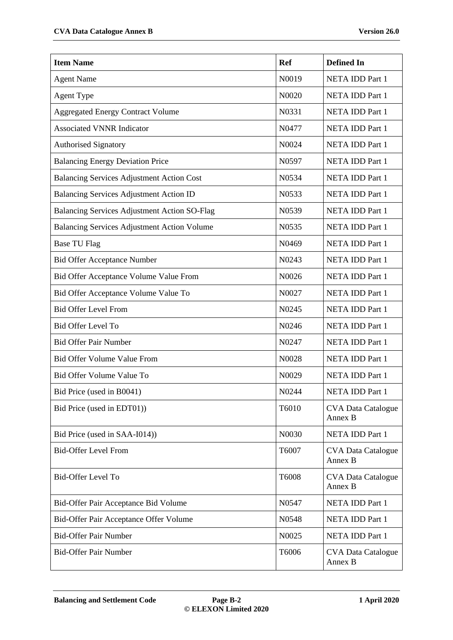| <b>Item Name</b>                                   | <b>Ref</b> | <b>Defined In</b>                    |
|----------------------------------------------------|------------|--------------------------------------|
| <b>Agent Name</b>                                  | N0019      | <b>NETA IDD Part 1</b>               |
| <b>Agent Type</b>                                  | N0020      | <b>NETA IDD Part 1</b>               |
| <b>Aggregated Energy Contract Volume</b>           | N0331      | NETA IDD Part 1                      |
| <b>Associated VNNR Indicator</b>                   | N0477      | NETA IDD Part 1                      |
| <b>Authorised Signatory</b>                        | N0024      | NETA IDD Part 1                      |
| <b>Balancing Energy Deviation Price</b>            | N0597      | NETA IDD Part 1                      |
| <b>Balancing Services Adjustment Action Cost</b>   | N0534      | <b>NETA IDD Part 1</b>               |
| <b>Balancing Services Adjustment Action ID</b>     | N0533      | NETA IDD Part 1                      |
| Balancing Services Adjustment Action SO-Flag       | N0539      | NETA IDD Part 1                      |
| <b>Balancing Services Adjustment Action Volume</b> | N0535      | NETA IDD Part 1                      |
| <b>Base TU Flag</b>                                | N0469      | NETA IDD Part 1                      |
| <b>Bid Offer Acceptance Number</b>                 | N0243      | NETA IDD Part 1                      |
| Bid Offer Acceptance Volume Value From             | N0026      | NETA IDD Part 1                      |
| Bid Offer Acceptance Volume Value To               | N0027      | NETA IDD Part 1                      |
| <b>Bid Offer Level From</b>                        | N0245      | NETA IDD Part 1                      |
| <b>Bid Offer Level To</b>                          | N0246      | NETA IDD Part 1                      |
| <b>Bid Offer Pair Number</b>                       | N0247      | NETA IDD Part 1                      |
| <b>Bid Offer Volume Value From</b>                 | N0028      | NETA IDD Part 1                      |
| Bid Offer Volume Value To                          | N0029      | <b>NETA IDD Part 1</b>               |
| Bid Price (used in B0041)                          | N0244      | NETA IDD Part 1                      |
| Bid Price (used in EDT01))                         | T6010      | <b>CVA Data Catalogue</b><br>Annex B |
| Bid Price (used in SAA-I014))                      | N0030      | NETA IDD Part 1                      |
| <b>Bid-Offer Level From</b>                        | T6007      | <b>CVA Data Catalogue</b><br>Annex B |
| <b>Bid-Offer Level To</b>                          | T6008      | <b>CVA Data Catalogue</b><br>Annex B |
| Bid-Offer Pair Acceptance Bid Volume               | N0547      | NETA IDD Part 1                      |
| Bid-Offer Pair Acceptance Offer Volume             | N0548      | NETA IDD Part 1                      |
| <b>Bid-Offer Pair Number</b>                       | N0025      | NETA IDD Part 1                      |
| <b>Bid-Offer Pair Number</b>                       | T6006      | <b>CVA Data Catalogue</b><br>Annex B |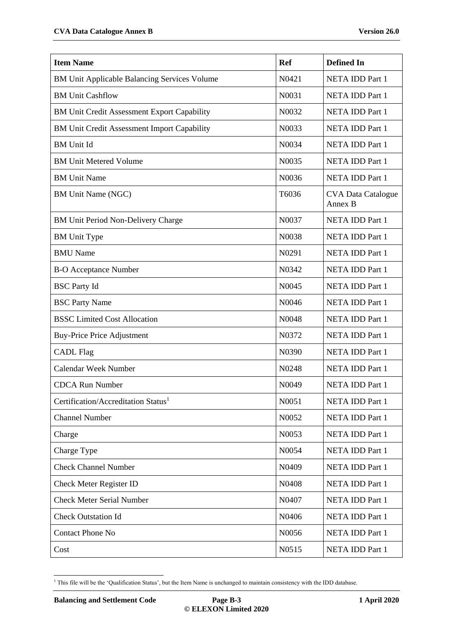| <b>Item Name</b>                                    | <b>Ref</b> | <b>Defined In</b>                    |
|-----------------------------------------------------|------------|--------------------------------------|
| <b>BM Unit Applicable Balancing Services Volume</b> | N0421      | NETA IDD Part 1                      |
| <b>BM Unit Cashflow</b>                             | N0031      | <b>NETA IDD Part 1</b>               |
| BM Unit Credit Assessment Export Capability         | N0032      | NETA IDD Part 1                      |
| <b>BM Unit Credit Assessment Import Capability</b>  | N0033      | <b>NETA IDD Part 1</b>               |
| <b>BM</b> Unit Id                                   | N0034      | NETA IDD Part 1                      |
| <b>BM Unit Metered Volume</b>                       | N0035      | NETA IDD Part 1                      |
| <b>BM Unit Name</b>                                 | N0036      | NETA IDD Part 1                      |
| <b>BM Unit Name (NGC)</b>                           | T6036      | <b>CVA Data Catalogue</b><br>Annex B |
| BM Unit Period Non-Delivery Charge                  | N0037      | NETA IDD Part 1                      |
| <b>BM</b> Unit Type                                 | N0038      | <b>NETA IDD Part 1</b>               |
| <b>BMU</b> Name                                     | N0291      | NETA IDD Part 1                      |
| <b>B-O Acceptance Number</b>                        | N0342      | NETA IDD Part 1                      |
| <b>BSC</b> Party Id                                 | N0045      | NETA IDD Part 1                      |
| <b>BSC Party Name</b>                               | N0046      | <b>NETA IDD Part 1</b>               |
| <b>BSSC Limited Cost Allocation</b>                 | N0048      | <b>NETA IDD Part 1</b>               |
| <b>Buy-Price Price Adjustment</b>                   | N0372      | NETA IDD Part 1                      |
| <b>CADL Flag</b>                                    | N0390      | NETA IDD Part 1                      |
| <b>Calendar Week Number</b>                         | N0248      | NETA IDD Part 1                      |
| <b>CDCA Run Number</b>                              | N0049      | <b>NETA IDD Part 1</b>               |
| Certification/Accreditation Status <sup>1</sup>     | N0051      | NETA IDD Part 1                      |
| <b>Channel Number</b>                               | N0052      | NETA IDD Part 1                      |
| Charge                                              | N0053      | NETA IDD Part 1                      |
| Charge Type                                         | N0054      | NETA IDD Part 1                      |
| <b>Check Channel Number</b>                         | N0409      | NETA IDD Part 1                      |
| <b>Check Meter Register ID</b>                      | N0408      | NETA IDD Part 1                      |
| <b>Check Meter Serial Number</b>                    | N0407      | <b>NETA IDD Part 1</b>               |
| <b>Check Outstation Id</b>                          | N0406      | NETA IDD Part 1                      |
| <b>Contact Phone No</b>                             | N0056      | NETA IDD Part 1                      |
| Cost                                                | N0515      | NETA IDD Part 1                      |

<sup>-</sup><sup>1</sup> This file will be the 'Qualification Status', but the Item Name is unchanged to maintain consistency with the IDD database.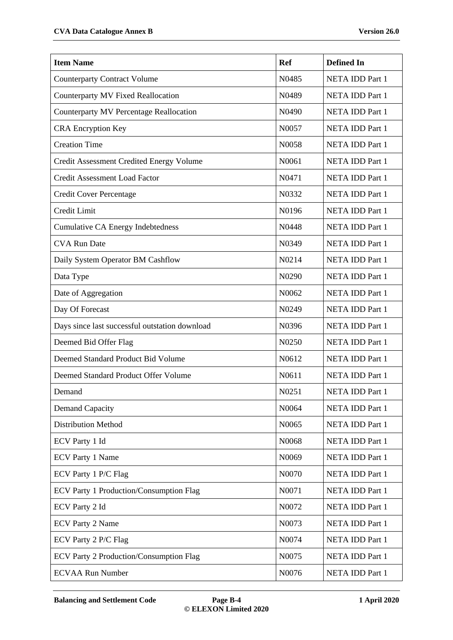| <b>Item Name</b>                               | <b>Ref</b>                     | <b>Defined In</b>      |
|------------------------------------------------|--------------------------------|------------------------|
| <b>Counterparty Contract Volume</b>            | N0485                          | <b>NETA IDD Part 1</b> |
| <b>Counterparty MV Fixed Reallocation</b>      | N0489                          | <b>NETA IDD Part 1</b> |
| <b>Counterparty MV Percentage Reallocation</b> | N0490                          | <b>NETA IDD Part 1</b> |
| <b>CRA Encryption Key</b>                      | N0057                          | <b>NETA IDD Part 1</b> |
| <b>Creation Time</b>                           | N0058                          | <b>NETA IDD Part 1</b> |
| Credit Assessment Credited Energy Volume       | N0061                          | <b>NETA IDD Part 1</b> |
| Credit Assessment Load Factor                  | N0471                          | <b>NETA IDD Part 1</b> |
| Credit Cover Percentage                        | N0332                          | <b>NETA IDD Part 1</b> |
| Credit Limit                                   | N0196                          | <b>NETA IDD Part 1</b> |
| <b>Cumulative CA Energy Indebtedness</b>       | N0448                          | <b>NETA IDD Part 1</b> |
| <b>CVA Run Date</b>                            | N0349                          | <b>NETA IDD Part 1</b> |
| Daily System Operator BM Cashflow              | N0214                          | <b>NETA IDD Part 1</b> |
| Data Type                                      | N <sub>0</sub> 29 <sub>0</sub> | NETA IDD Part 1        |
| Date of Aggregation                            | N0062                          | NETA IDD Part 1        |
| Day Of Forecast                                | N0249                          | <b>NETA IDD Part 1</b> |
| Days since last successful outstation download | N0396                          | NETA IDD Part 1        |
| Deemed Bid Offer Flag                          | N0250                          | <b>NETA IDD Part 1</b> |
| Deemed Standard Product Bid Volume             | N0612                          | <b>NETA IDD Part 1</b> |
| Deemed Standard Product Offer Volume           | N0611                          | <b>NETA IDD Part 1</b> |
| Demand                                         | N <sub>0</sub> 251             | NETA IDD Part 1        |
| Demand Capacity                                | N0064                          | <b>NETA IDD Part 1</b> |
| <b>Distribution Method</b>                     | N0065                          | <b>NETA IDD Part 1</b> |
| ECV Party 1 Id                                 | N0068                          | <b>NETA IDD Part 1</b> |
| <b>ECV Party 1 Name</b>                        | N0069                          | NETA IDD Part 1        |
| ECV Party 1 P/C Flag                           | N0070                          | <b>NETA IDD Part 1</b> |
| ECV Party 1 Production/Consumption Flag        | N0071                          | NETA IDD Part 1        |
| <b>ECV Party 2 Id</b>                          | N0072                          | NETA IDD Part 1        |
| <b>ECV Party 2 Name</b>                        | N0073                          | <b>NETA IDD Part 1</b> |
| ECV Party 2 P/C Flag                           | N0074                          | <b>NETA IDD Part 1</b> |
| ECV Party 2 Production/Consumption Flag        | N0075                          | <b>NETA IDD Part 1</b> |
| <b>ECVAA Run Number</b>                        | N0076                          | NETA IDD Part 1        |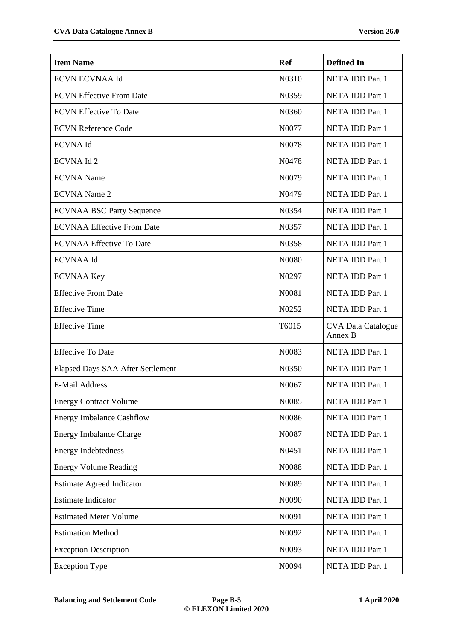| <b>Item Name</b>                  | <b>Ref</b>         | <b>Defined In</b>                    |
|-----------------------------------|--------------------|--------------------------------------|
| <b>ECVN ECVNAA Id</b>             | N0310              | <b>NETA IDD Part 1</b>               |
| <b>ECVN Effective From Date</b>   | N0359              | <b>NETA IDD Part 1</b>               |
| <b>ECVN Effective To Date</b>     | N0360              | <b>NETA IDD Part 1</b>               |
| <b>ECVN Reference Code</b>        | N0077              | <b>NETA IDD Part 1</b>               |
| <b>ECVNA Id</b>                   | N0078              | <b>NETA IDD Part 1</b>               |
| <b>ECVNA Id 2</b>                 | N0478              | <b>NETA IDD Part 1</b>               |
| <b>ECVNA</b> Name                 | N0079              | <b>NETA IDD Part 1</b>               |
| <b>ECVNA</b> Name 2               | N <sub>0479</sub>  | <b>NETA IDD Part 1</b>               |
| <b>ECVNAA BSC Party Sequence</b>  | N0354              | <b>NETA IDD Part 1</b>               |
| <b>ECVNAA Effective From Date</b> | N0357              | <b>NETA IDD Part 1</b>               |
| <b>ECVNAA Effective To Date</b>   | N0358              | <b>NETA IDD Part 1</b>               |
| <b>ECVNAA Id</b>                  | N0080              | <b>NETA IDD Part 1</b>               |
| <b>ECVNAA Key</b>                 | N <sub>0</sub> 297 | NETA IDD Part 1                      |
| <b>Effective From Date</b>        | N0081              | NETA IDD Part 1                      |
| <b>Effective Time</b>             | N0252              | <b>NETA IDD Part 1</b>               |
| <b>Effective Time</b>             | T6015              | <b>CVA Data Catalogue</b><br>Annex B |
| <b>Effective To Date</b>          | N0083              | <b>NETA IDD Part 1</b>               |
| Elapsed Days SAA After Settlement | N0350              | <b>NETA IDD Part 1</b>               |
| <b>E-Mail Address</b>             | N0067              | <b>NETA IDD Part 1</b>               |
| <b>Energy Contract Volume</b>     | N0085              | <b>NETA IDD Part 1</b>               |
| <b>Energy Imbalance Cashflow</b>  | N0086              | NETA IDD Part 1                      |
| <b>Energy Imbalance Charge</b>    | N0087              | NETA IDD Part 1                      |
| <b>Energy Indebtedness</b>        | N0451              | <b>NETA IDD Part 1</b>               |
| <b>Energy Volume Reading</b>      | N0088              | <b>NETA IDD Part 1</b>               |
| <b>Estimate Agreed Indicator</b>  | N0089              | <b>NETA IDD Part 1</b>               |
| <b>Estimate Indicator</b>         | N0090              | <b>NETA IDD Part 1</b>               |
| <b>Estimated Meter Volume</b>     | N0091              | NETA IDD Part 1                      |
| <b>Estimation Method</b>          | N0092              | <b>NETA IDD Part 1</b>               |
| <b>Exception Description</b>      | N0093              | <b>NETA IDD Part 1</b>               |
| <b>Exception Type</b>             | N0094              | <b>NETA IDD Part 1</b>               |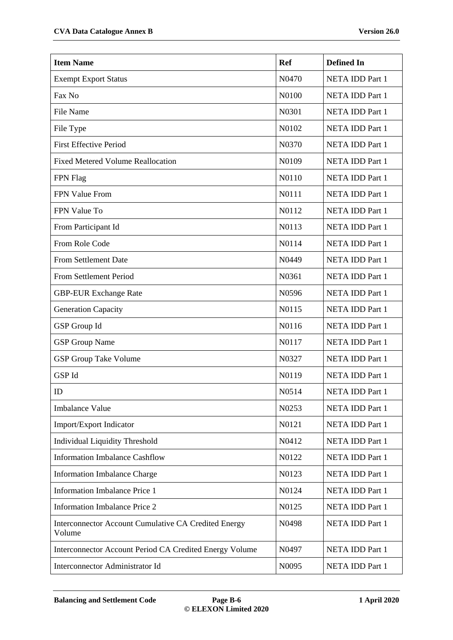| <b>Item Name</b>                                               | <b>Ref</b>        | <b>Defined In</b>      |
|----------------------------------------------------------------|-------------------|------------------------|
| <b>Exempt Export Status</b>                                    | N0470             | NETA IDD Part 1        |
| Fax No                                                         | N0100             | NETA IDD Part 1        |
| <b>File Name</b>                                               | N0301             | NETA IDD Part 1        |
| File Type                                                      | N0102             | NETA IDD Part 1        |
| <b>First Effective Period</b>                                  | N0370             | NETA IDD Part 1        |
| <b>Fixed Metered Volume Reallocation</b>                       | N0109             | NETA IDD Part 1        |
| FPN Flag                                                       | N0110             | NETA IDD Part 1        |
| FPN Value From                                                 | N0111             | NETA IDD Part 1        |
| FPN Value To                                                   | N0112             | NETA IDD Part 1        |
| From Participant Id                                            | N0113             | NETA IDD Part 1        |
| From Role Code                                                 | N0114             | NETA IDD Part 1        |
| From Settlement Date                                           | N0449             | NETA IDD Part 1        |
| From Settlement Period                                         | N0361             | NETA IDD Part 1        |
| <b>GBP-EUR Exchange Rate</b>                                   | N0596             | NETA IDD Part 1        |
| <b>Generation Capacity</b>                                     | N0115             | NETA IDD Part 1        |
| <b>GSP</b> Group Id                                            | N0116             | NETA IDD Part 1        |
| <b>GSP</b> Group Name                                          | N0117             | NETA IDD Part 1        |
| <b>GSP Group Take Volume</b>                                   | N0327             | NETA IDD Part 1        |
| GSP Id                                                         | N0119             | NETA IDD Part 1        |
| ID                                                             | N <sub>0514</sub> | NETA IDD Part 1        |
| <b>Imbalance Value</b>                                         | N0253             | NETA IDD Part 1        |
| Import/Export Indicator                                        | N0121             | NETA IDD Part 1        |
| <b>Individual Liquidity Threshold</b>                          | N0412             | NETA IDD Part 1        |
| <b>Information Imbalance Cashflow</b>                          | N0122             | NETA IDD Part 1        |
| <b>Information Imbalance Charge</b>                            | N0123             | NETA IDD Part 1        |
| <b>Information Imbalance Price 1</b>                           | N0124             | NETA IDD Part 1        |
| <b>Information Imbalance Price 2</b>                           | N0125             | NETA IDD Part 1        |
| Interconnector Account Cumulative CA Credited Energy<br>Volume | N0498             | NETA IDD Part 1        |
| Interconnector Account Period CA Credited Energy Volume        | N0497             | NETA IDD Part 1        |
| Interconnector Administrator Id                                | N0095             | <b>NETA IDD Part 1</b> |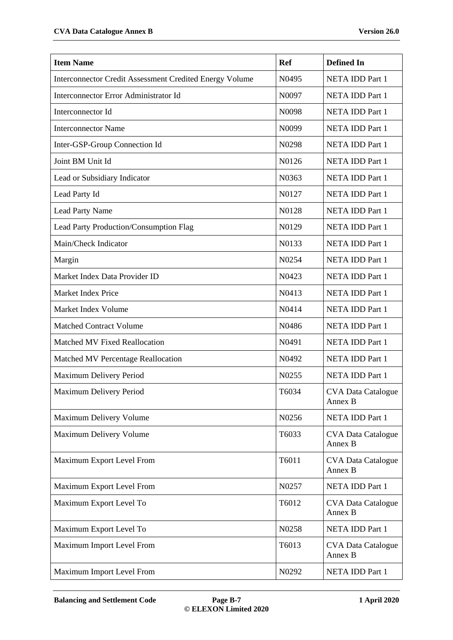| <b>Item Name</b>                                               | <b>Ref</b> | <b>Defined In</b>                    |
|----------------------------------------------------------------|------------|--------------------------------------|
| <b>Interconnector Credit Assessment Credited Energy Volume</b> | N0495      | <b>NETA IDD Part 1</b>               |
| Interconnector Error Administrator Id                          | N0097      | <b>NETA IDD Part 1</b>               |
| Interconnector Id                                              | N0098      | NETA IDD Part 1                      |
| <b>Interconnector Name</b>                                     | N0099      | <b>NETA IDD Part 1</b>               |
| Inter-GSP-Group Connection Id                                  | N0298      | NETA IDD Part 1                      |
| Joint BM Unit Id                                               | N0126      | NETA IDD Part 1                      |
| Lead or Subsidiary Indicator                                   | N0363      | NETA IDD Part 1                      |
| Lead Party Id                                                  | N0127      | NETA IDD Part 1                      |
| Lead Party Name                                                | N0128      | NETA IDD Part 1                      |
| Lead Party Production/Consumption Flag                         | N0129      | <b>NETA IDD Part 1</b>               |
| Main/Check Indicator                                           | N0133      | NETA IDD Part 1                      |
| Margin                                                         | N0254      | <b>NETA IDD Part 1</b>               |
| Market Index Data Provider ID                                  | N0423      | NETA IDD Part 1                      |
| Market Index Price                                             | N0413      | <b>NETA IDD Part 1</b>               |
| Market Index Volume                                            | N0414      | <b>NETA IDD Part 1</b>               |
| <b>Matched Contract Volume</b>                                 | N0486      | NETA IDD Part 1                      |
| Matched MV Fixed Reallocation                                  | N0491      | NETA IDD Part 1                      |
| Matched MV Percentage Reallocation                             | N0492      | NETA IDD Part 1                      |
| Maximum Delivery Period                                        | N0255      | NETA IDD Part 1                      |
| Maximum Delivery Period                                        | T6034      | <b>CVA Data Catalogue</b><br>Annex B |
| Maximum Delivery Volume                                        | N0256      | NETA IDD Part 1                      |
| Maximum Delivery Volume                                        | T6033      | <b>CVA Data Catalogue</b><br>Annex B |
| Maximum Export Level From                                      | T6011      | <b>CVA Data Catalogue</b><br>Annex B |
| Maximum Export Level From                                      | N0257      | NETA IDD Part 1                      |
| Maximum Export Level To                                        | T6012      | <b>CVA Data Catalogue</b><br>Annex B |
| Maximum Export Level To                                        | N0258      | NETA IDD Part 1                      |
| Maximum Import Level From                                      | T6013      | <b>CVA Data Catalogue</b><br>Annex B |
| Maximum Import Level From                                      | N0292      | NETA IDD Part 1                      |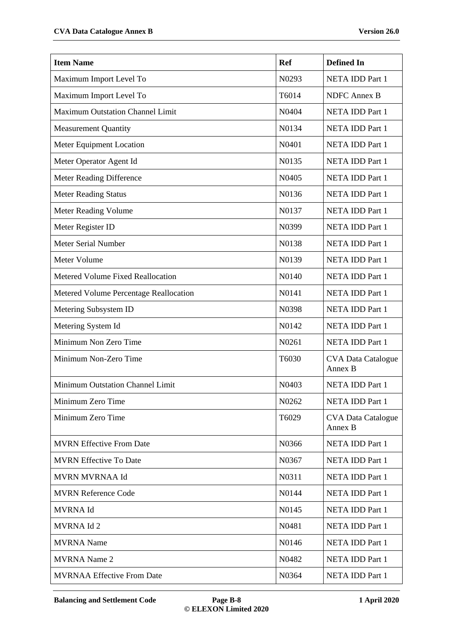| <b>Item Name</b>                         | <b>Ref</b>         | <b>Defined In</b>                    |
|------------------------------------------|--------------------|--------------------------------------|
| Maximum Import Level To                  | N0293              | <b>NETA IDD Part 1</b>               |
| Maximum Import Level To                  | T6014              | <b>NDFC</b> Annex B                  |
| Maximum Outstation Channel Limit         | N0404              | NETA IDD Part 1                      |
| <b>Measurement Quantity</b>              | N0134              | NETA IDD Part 1                      |
| Meter Equipment Location                 | N0401              | NETA IDD Part 1                      |
| Meter Operator Agent Id                  | N0135              | NETA IDD Part 1                      |
| Meter Reading Difference                 | N <sub>04</sub> 05 | NETA IDD Part 1                      |
| <b>Meter Reading Status</b>              | N0136              | NETA IDD Part 1                      |
| Meter Reading Volume                     | N0137              | NETA IDD Part 1                      |
| Meter Register ID                        | N0399              | NETA IDD Part 1                      |
| <b>Meter Serial Number</b>               | N0138              | NETA IDD Part 1                      |
| Meter Volume                             | N0139              | NETA IDD Part 1                      |
| <b>Metered Volume Fixed Reallocation</b> | N0140              | NETA IDD Part 1                      |
| Metered Volume Percentage Reallocation   | N0141              | NETA IDD Part 1                      |
| Metering Subsystem ID                    | N0398              | NETA IDD Part 1                      |
| Metering System Id                       | N0142              | NETA IDD Part 1                      |
| Minimum Non Zero Time                    | N0261              | NETA IDD Part 1                      |
| Minimum Non-Zero Time                    | T6030              | <b>CVA Data Catalogue</b><br>Annex B |
| Minimum Outstation Channel Limit         | N0403              | NETA IDD Part 1                      |
| Minimum Zero Time                        | N0262              | NETA IDD Part 1                      |
| Minimum Zero Time                        | T6029              | <b>CVA Data Catalogue</b><br>Annex B |
| <b>MVRN Effective From Date</b>          | N0366              | NETA IDD Part 1                      |
| <b>MVRN Effective To Date</b>            | N0367              | NETA IDD Part 1                      |
| <b>MVRN MVRNAA Id</b>                    | N0311              | NETA IDD Part 1                      |
| <b>MVRN Reference Code</b>               | N0144              | NETA IDD Part 1                      |
| <b>MVRNAId</b>                           | N0145              | NETA IDD Part 1                      |
| MVRNA Id 2                               | N0481              | NETA IDD Part 1                      |
| <b>MVRNA</b> Name                        | N0146              | NETA IDD Part 1                      |
| <b>MVRNA</b> Name 2                      | N0482              | NETA IDD Part 1                      |
| <b>MVRNAA Effective From Date</b>        | N0364              | NETA IDD Part 1                      |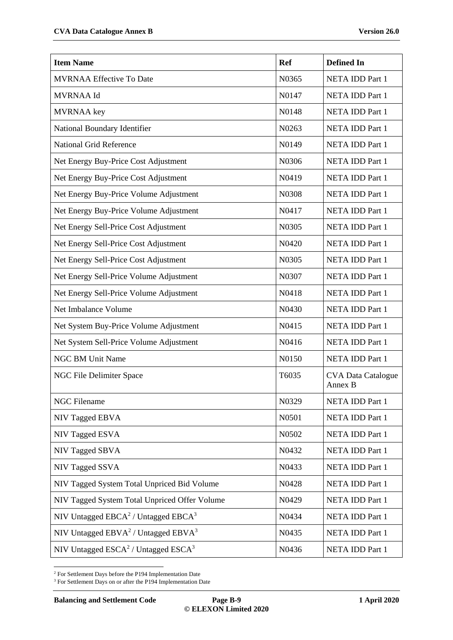| <b>Item Name</b>                              | <b>Ref</b> | <b>Defined In</b>                    |
|-----------------------------------------------|------------|--------------------------------------|
| <b>MVRNAA Effective To Date</b>               | N0365      | NETA IDD Part 1                      |
| <b>MVRNAA Id</b>                              | N0147      | NETA IDD Part 1                      |
| <b>MVRNAA</b> key                             | N0148      | NETA IDD Part 1                      |
| National Boundary Identifier                  | N0263      | NETA IDD Part 1                      |
| <b>National Grid Reference</b>                | N0149      | <b>NETA IDD Part 1</b>               |
| Net Energy Buy-Price Cost Adjustment          | N0306      | NETA IDD Part 1                      |
| Net Energy Buy-Price Cost Adjustment          | N0419      | NETA IDD Part 1                      |
| Net Energy Buy-Price Volume Adjustment        | N0308      | NETA IDD Part 1                      |
| Net Energy Buy-Price Volume Adjustment        | N0417      | NETA IDD Part 1                      |
| Net Energy Sell-Price Cost Adjustment         | N0305      | <b>NETA IDD Part 1</b>               |
| Net Energy Sell-Price Cost Adjustment         | N0420      | NETA IDD Part 1                      |
| Net Energy Sell-Price Cost Adjustment         | N0305      | NETA IDD Part 1                      |
| Net Energy Sell-Price Volume Adjustment       | N0307      | NETA IDD Part 1                      |
| Net Energy Sell-Price Volume Adjustment       | N0418      | NETA IDD Part 1                      |
| Net Imbalance Volume                          | N0430      | <b>NETA IDD Part 1</b>               |
| Net System Buy-Price Volume Adjustment        | N0415      | NETA IDD Part 1                      |
| Net System Sell-Price Volume Adjustment       | N0416      | NETA IDD Part 1                      |
| <b>NGC BM Unit Name</b>                       | N0150      | NETA IDD Part 1                      |
| NGC File Delimiter Space                      | T6035      | <b>CVA Data Catalogue</b><br>Annex B |
| <b>NGC Filename</b>                           | N0329      | NETA IDD Part 1                      |
| NIV Tagged EBVA                               | N0501      | NETA IDD Part 1                      |
| NIV Tagged ESVA                               | N0502      | NETA IDD Part 1                      |
| NIV Tagged SBVA                               | N0432      | NETA IDD Part 1                      |
| NIV Tagged SSVA                               | N0433      | NETA IDD Part 1                      |
| NIV Tagged System Total Unpriced Bid Volume   | N0428      | NETA IDD Part 1                      |
| NIV Tagged System Total Unpriced Offer Volume | N0429      | NETA IDD Part 1                      |
| NIV Untagged $EBCA^2$ / Untagged $EBCA^3$     | N0434      | NETA IDD Part 1                      |
| NIV Untagged $EBVA2$ / Untagged $EBVA3$       | N0435      | NETA IDD Part 1                      |
| NIV Untagged $ESCA^2$ / Untagged $ESCA^3$     | N0436      | NETA IDD Part 1                      |

<span id="page-8-1"></span><span id="page-8-0"></span>- $2$  For Settlement Days before the P194 Implementation Date

<sup>3</sup> For Settlement Days on or after the P194 Implementation Date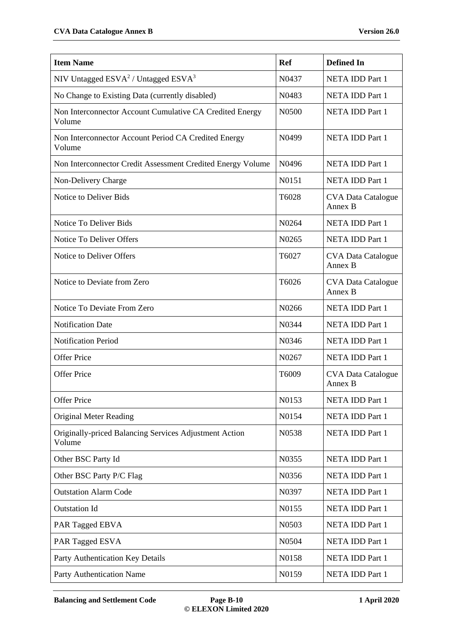| <b>Item Name</b>                                                   | <b>Ref</b>        | <b>Defined In</b>                    |
|--------------------------------------------------------------------|-------------------|--------------------------------------|
| NIV Untagged $ESVA2$ / Untagged $ESVA3$                            | N0437             | NETA IDD Part 1                      |
| No Change to Existing Data (currently disabled)                    | N0483             | NETA IDD Part 1                      |
| Non Interconnector Account Cumulative CA Credited Energy<br>Volume | N0500             | <b>NETA IDD Part 1</b>               |
| Non Interconnector Account Period CA Credited Energy<br>Volume     | N <sub>0499</sub> | NETA IDD Part 1                      |
| Non Interconnector Credit Assessment Credited Energy Volume        | N <sub>0496</sub> | NETA IDD Part 1                      |
| Non-Delivery Charge                                                | N0151             | NETA IDD Part 1                      |
| Notice to Deliver Bids                                             | T6028             | <b>CVA Data Catalogue</b><br>Annex B |
| Notice To Deliver Bids                                             | N0264             | NETA IDD Part 1                      |
| Notice To Deliver Offers                                           | N0265             | <b>NETA IDD Part 1</b>               |
| Notice to Deliver Offers                                           | T6027             | <b>CVA Data Catalogue</b><br>Annex B |
| Notice to Deviate from Zero                                        | T6026             | <b>CVA Data Catalogue</b><br>Annex B |
| Notice To Deviate From Zero                                        | N0266             | NETA IDD Part 1                      |
| <b>Notification Date</b>                                           | N0344             | NETA IDD Part 1                      |
| <b>Notification Period</b>                                         | N0346             | NETA IDD Part 1                      |
| <b>Offer Price</b>                                                 | N0267             | NETA IDD Part 1                      |
| <b>Offer Price</b>                                                 | T6009             | <b>CVA Data Catalogue</b><br>Annex B |
| <b>Offer Price</b>                                                 | N0153             | NETA IDD Part 1                      |
| <b>Original Meter Reading</b>                                      | N0154             | NETA IDD Part 1                      |
| Originally-priced Balancing Services Adjustment Action<br>Volume   | N0538             | NETA IDD Part 1                      |
| Other BSC Party Id                                                 | N0355             | NETA IDD Part 1                      |
| Other BSC Party P/C Flag                                           | N0356             | NETA IDD Part 1                      |
| <b>Outstation Alarm Code</b>                                       | N0397             | NETA IDD Part 1                      |
| <b>Outstation Id</b>                                               | N0155             | NETA IDD Part 1                      |
| PAR Tagged EBVA                                                    | N0503             | NETA IDD Part 1                      |
| PAR Tagged ESVA                                                    | N0504             | NETA IDD Part 1                      |
| Party Authentication Key Details                                   | N0158             | NETA IDD Part 1                      |
| Party Authentication Name                                          | N0159             | NETA IDD Part 1                      |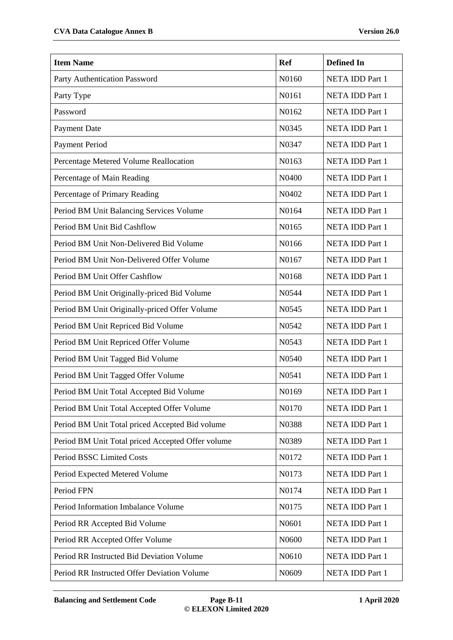| <b>Item Name</b>                                  | <b>Ref</b> | <b>Defined In</b>      |
|---------------------------------------------------|------------|------------------------|
| Party Authentication Password                     | N0160      | <b>NETA IDD Part 1</b> |
| Party Type                                        | N0161      | <b>NETA IDD Part 1</b> |
| Password                                          | N0162      | <b>NETA IDD Part 1</b> |
| Payment Date                                      | N0345      | NETA IDD Part 1        |
| <b>Payment Period</b>                             | N0347      | <b>NETA IDD Part 1</b> |
| Percentage Metered Volume Reallocation            | N0163      | <b>NETA IDD Part 1</b> |
| Percentage of Main Reading                        | N0400      | <b>NETA IDD Part 1</b> |
| Percentage of Primary Reading                     | N0402      | <b>NETA IDD Part 1</b> |
| Period BM Unit Balancing Services Volume          | N0164      | NETA IDD Part 1        |
| Period BM Unit Bid Cashflow                       | N0165      | <b>NETA IDD Part 1</b> |
| Period BM Unit Non-Delivered Bid Volume           | N0166      | <b>NETA IDD Part 1</b> |
| Period BM Unit Non-Delivered Offer Volume         | N0167      | <b>NETA IDD Part 1</b> |
| Period BM Unit Offer Cashflow                     | N0168      | <b>NETA IDD Part 1</b> |
| Period BM Unit Originally-priced Bid Volume       | N0544      | NETA IDD Part 1        |
| Period BM Unit Originally-priced Offer Volume     | N0545      | <b>NETA IDD Part 1</b> |
| Period BM Unit Repriced Bid Volume                | N0542      | NETA IDD Part 1        |
| Period BM Unit Repriced Offer Volume              | N0543      | <b>NETA IDD Part 1</b> |
| Period BM Unit Tagged Bid Volume                  | N0540      | <b>NETA IDD Part 1</b> |
| Period BM Unit Tagged Offer Volume                | N0541      | <b>NETA IDD Part 1</b> |
| Period BM Unit Total Accepted Bid Volume          | N0169      | NETA IDD Part 1        |
| Period BM Unit Total Accepted Offer Volume        | N0170      | NETA IDD Part 1        |
| Period BM Unit Total priced Accepted Bid volume   | N0388      | <b>NETA IDD Part 1</b> |
| Period BM Unit Total priced Accepted Offer volume | N0389      | <b>NETA IDD Part 1</b> |
| Period BSSC Limited Costs                         | N0172      | NETA IDD Part 1        |
| Period Expected Metered Volume                    | N0173      | <b>NETA IDD Part 1</b> |
| Period FPN                                        | N0174      | NETA IDD Part 1        |
| Period Information Imbalance Volume               | N0175      | NETA IDD Part 1        |
| Period RR Accepted Bid Volume                     | N0601      | <b>NETA IDD Part 1</b> |
| Period RR Accepted Offer Volume                   | N0600      | NETA IDD Part 1        |
| Period RR Instructed Bid Deviation Volume         | N0610      | <b>NETA IDD Part 1</b> |
| Period RR Instructed Offer Deviation Volume       | N0609      | NETA IDD Part 1        |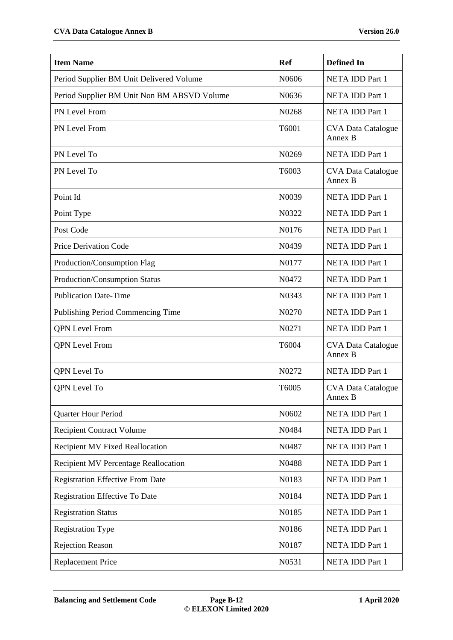| <b>Item Name</b>                            | <b>Ref</b> | <b>Defined In</b>                    |
|---------------------------------------------|------------|--------------------------------------|
| Period Supplier BM Unit Delivered Volume    | N0606      | <b>NETA IDD Part 1</b>               |
| Period Supplier BM Unit Non BM ABSVD Volume | N0636      | <b>NETA IDD Part 1</b>               |
| PN Level From                               | N0268      | NETA IDD Part 1                      |
| PN Level From                               | T6001      | <b>CVA Data Catalogue</b><br>Annex B |
| PN Level To                                 | N0269      | <b>NETA IDD Part 1</b>               |
| PN Level To                                 | T6003      | <b>CVA Data Catalogue</b><br>Annex B |
| Point Id                                    | N0039      | NETA IDD Part 1                      |
| Point Type                                  | N0322      | <b>NETA IDD Part 1</b>               |
| Post Code                                   | N0176      | NETA IDD Part 1                      |
| <b>Price Derivation Code</b>                | N0439      | NETA IDD Part 1                      |
| Production/Consumption Flag                 | N0177      | <b>NETA IDD Part 1</b>               |
| Production/Consumption Status               | N0472      | NETA IDD Part 1                      |
| <b>Publication Date-Time</b>                | N0343      | NETA IDD Part 1                      |
| Publishing Period Commencing Time           | N0270      | <b>NETA IDD Part 1</b>               |
| <b>QPN</b> Level From                       | N0271      | NETA IDD Part 1                      |
| <b>QPN</b> Level From                       | T6004      | <b>CVA Data Catalogue</b><br>Annex B |
| QPN Level To                                | N0272      | <b>NETA IDD Part 1</b>               |
| QPN Level To                                | T6005      | <b>CVA Data Catalogue</b><br>Annex B |
| <b>Quarter Hour Period</b>                  | N0602      | <b>NETA IDD Part 1</b>               |
| <b>Recipient Contract Volume</b>            | N0484      | <b>NETA IDD Part 1</b>               |
| <b>Recipient MV Fixed Reallocation</b>      | N0487      | NETA IDD Part 1                      |
| Recipient MV Percentage Reallocation        | N0488      | NETA IDD Part 1                      |
| <b>Registration Effective From Date</b>     | N0183      | NETA IDD Part 1                      |
| Registration Effective To Date              | N0184      | NETA IDD Part 1                      |
| <b>Registration Status</b>                  | N0185      | <b>NETA IDD Part 1</b>               |
| <b>Registration Type</b>                    | N0186      | NETA IDD Part 1                      |
| <b>Rejection Reason</b>                     | N0187      | <b>NETA IDD Part 1</b>               |
| <b>Replacement Price</b>                    | N0531      | NETA IDD Part 1                      |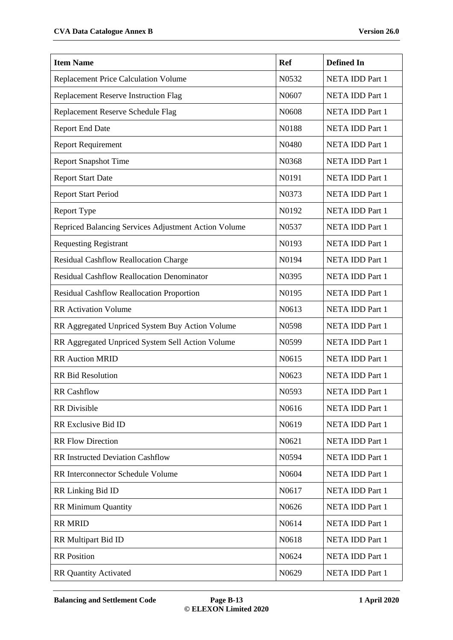| <b>Item Name</b>                                     | <b>Ref</b> | <b>Defined In</b>      |
|------------------------------------------------------|------------|------------------------|
| <b>Replacement Price Calculation Volume</b>          | N0532      | <b>NETA IDD Part 1</b> |
| Replacement Reserve Instruction Flag                 | N0607      | <b>NETA IDD Part 1</b> |
| Replacement Reserve Schedule Flag                    | N0608      | <b>NETA IDD Part 1</b> |
| <b>Report End Date</b>                               | N0188      | NETA IDD Part 1        |
| <b>Report Requirement</b>                            | N0480      | <b>NETA IDD Part 1</b> |
| <b>Report Snapshot Time</b>                          | N0368      | <b>NETA IDD Part 1</b> |
| <b>Report Start Date</b>                             | N0191      | <b>NETA IDD Part 1</b> |
| <b>Report Start Period</b>                           | N0373      | <b>NETA IDD Part 1</b> |
| <b>Report Type</b>                                   | N0192      | <b>NETA IDD Part 1</b> |
| Repriced Balancing Services Adjustment Action Volume | N0537      | <b>NETA IDD Part 1</b> |
| <b>Requesting Registrant</b>                         | N0193      | <b>NETA IDD Part 1</b> |
| Residual Cashflow Reallocation Charge                | N0194      | <b>NETA IDD Part 1</b> |
| <b>Residual Cashflow Reallocation Denominator</b>    | N0395      | <b>NETA IDD Part 1</b> |
| Residual Cashflow Reallocation Proportion            | N0195      | <b>NETA IDD Part 1</b> |
| <b>RR</b> Activation Volume                          | N0613      | <b>NETA IDD Part 1</b> |
| RR Aggregated Unpriced System Buy Action Volume      | N0598      | NETA IDD Part 1        |
| RR Aggregated Unpriced System Sell Action Volume     | N0599      | <b>NETA IDD Part 1</b> |
| <b>RR Auction MRID</b>                               | N0615      | <b>NETA IDD Part 1</b> |
| <b>RR</b> Bid Resolution                             | N0623      | <b>NETA IDD Part 1</b> |
| <b>RR</b> Cashflow                                   | N0593      | NETA IDD Part 1        |
| <b>RR</b> Divisible                                  | N0616      | <b>NETA IDD Part 1</b> |
| RR Exclusive Bid ID                                  | N0619      | <b>NETA IDD Part 1</b> |
| <b>RR Flow Direction</b>                             | N0621      | NETA IDD Part 1        |
| <b>RR Instructed Deviation Cashflow</b>              | N0594      | NETA IDD Part 1        |
| <b>RR</b> Interconnector Schedule Volume             | N0604      | <b>NETA IDD Part 1</b> |
| RR Linking Bid ID                                    | N0617      | NETA IDD Part 1        |
| <b>RR Minimum Quantity</b>                           | N0626      | NETA IDD Part 1        |
| <b>RR MRID</b>                                       | N0614      | <b>NETA IDD Part 1</b> |
| RR Multipart Bid ID                                  | N0618      | <b>NETA IDD Part 1</b> |
| <b>RR</b> Position                                   | N0624      | <b>NETA IDD Part 1</b> |
| <b>RR Quantity Activated</b>                         | N0629      | <b>NETA IDD Part 1</b> |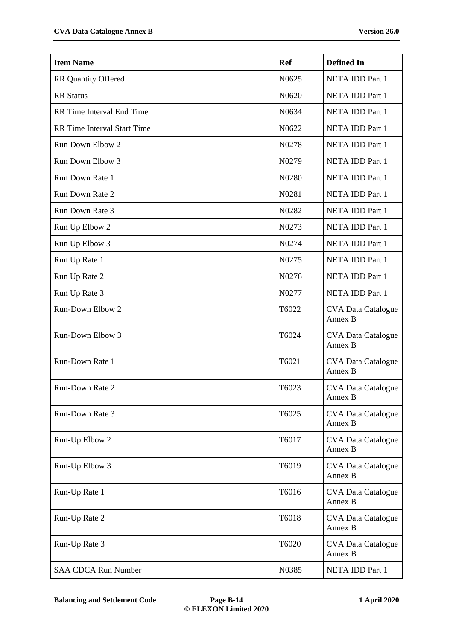| <b>Item Name</b>                   | <b>Ref</b>         | <b>Defined In</b>                    |
|------------------------------------|--------------------|--------------------------------------|
| <b>RR Quantity Offered</b>         | N0625              | <b>NETA IDD Part 1</b>               |
| <b>RR</b> Status                   | N0620              | NETA IDD Part 1                      |
| RR Time Interval End Time          | N0634              | NETA IDD Part 1                      |
| <b>RR</b> Time Interval Start Time | N0622              | NETA IDD Part 1                      |
| Run Down Elbow 2                   | N0278              | <b>NETA IDD Part 1</b>               |
| Run Down Elbow 3                   | N0279              | NETA IDD Part 1                      |
| Run Down Rate 1                    | N0280              | NETA IDD Part 1                      |
| Run Down Rate 2                    | N <sub>0</sub> 281 | NETA IDD Part 1                      |
| Run Down Rate 3                    | N0282              | NETA IDD Part 1                      |
| Run Up Elbow 2                     | N0273              | NETA IDD Part 1                      |
| Run Up Elbow 3                     | N0274              | NETA IDD Part 1                      |
| Run Up Rate 1                      | N0275              | NETA IDD Part 1                      |
| Run Up Rate 2                      | N <sub>0</sub> 276 | NETA IDD Part 1                      |
| Run Up Rate 3                      | N0277              | NETA IDD Part 1                      |
| Run-Down Elbow 2                   | T6022              | <b>CVA Data Catalogue</b><br>Annex B |
| Run-Down Elbow 3                   | T6024              | <b>CVA Data Catalogue</b><br>Annex B |
| Run-Down Rate 1                    | T6021              | <b>CVA Data Catalogue</b><br>Annex B |
| Run-Down Rate 2                    | T6023              | <b>CVA Data Catalogue</b><br>Annex B |
| Run-Down Rate 3                    | T6025              | <b>CVA Data Catalogue</b><br>Annex B |
| Run-Up Elbow 2                     | T6017              | <b>CVA Data Catalogue</b><br>Annex B |
| Run-Up Elbow 3                     | T6019              | <b>CVA Data Catalogue</b><br>Annex B |
| Run-Up Rate 1                      | T6016              | <b>CVA Data Catalogue</b><br>Annex B |
| Run-Up Rate 2                      | T6018              | <b>CVA Data Catalogue</b><br>Annex B |
| Run-Up Rate 3                      | T6020              | <b>CVA Data Catalogue</b><br>Annex B |
| <b>SAA CDCA Run Number</b>         | N0385              | NETA IDD Part 1                      |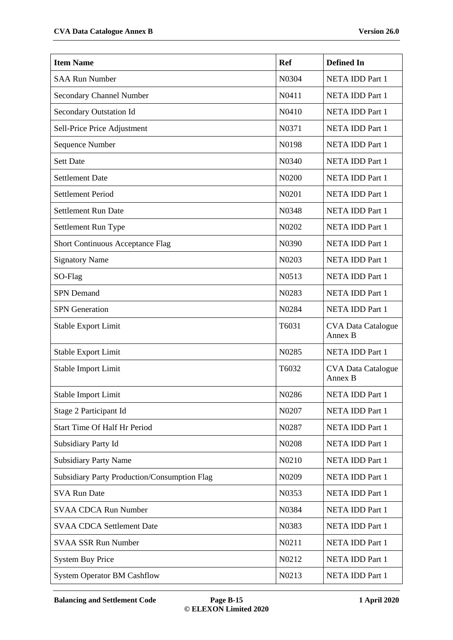| <b>Item Name</b>                             | <b>Ref</b>                     | <b>Defined In</b>                    |
|----------------------------------------------|--------------------------------|--------------------------------------|
| <b>SAA Run Number</b>                        | N0304                          | NETA IDD Part 1                      |
| <b>Secondary Channel Number</b>              | N0411                          | NETA IDD Part 1                      |
| Secondary Outstation Id                      | N0410                          | NETA IDD Part 1                      |
| Sell-Price Price Adjustment                  | N0371                          | NETA IDD Part 1                      |
| Sequence Number                              | N0198                          | NETA IDD Part 1                      |
| <b>Sett Date</b>                             | N0340                          | NETA IDD Part 1                      |
| <b>Settlement Date</b>                       | N0200                          | NETA IDD Part 1                      |
| <b>Settlement Period</b>                     | N0201                          | NETA IDD Part 1                      |
| Settlement Run Date                          | N0348                          | NETA IDD Part 1                      |
| Settlement Run Type                          | N <sub>0</sub> 20 <sub>2</sub> | NETA IDD Part 1                      |
| Short Continuous Acceptance Flag             | N0390                          | NETA IDD Part 1                      |
| <b>Signatory Name</b>                        | N0203                          | NETA IDD Part 1                      |
| SO-Flag                                      | N0513                          | NETA IDD Part 1                      |
| <b>SPN</b> Demand                            | N0283                          | NETA IDD Part 1                      |
| <b>SPN</b> Generation                        | N0284                          | NETA IDD Part 1                      |
| <b>Stable Export Limit</b>                   | T6031                          | <b>CVA Data Catalogue</b><br>Annex B |
| <b>Stable Export Limit</b>                   | N0285                          | NETA IDD Part 1                      |
| Stable Import Limit                          | T6032                          | <b>CVA Data Catalogue</b><br>Annex B |
| Stable Import Limit                          | N0286                          | NETA IDD Part 1                      |
| Stage 2 Participant Id                       | N0207                          | <b>NETA IDD Part 1</b>               |
| Start Time Of Half Hr Period                 | N0287                          | NETA IDD Part 1                      |
| Subsidiary Party Id                          | N0208                          | NETA IDD Part 1                      |
| <b>Subsidiary Party Name</b>                 | N0210                          | NETA IDD Part 1                      |
| Subsidiary Party Production/Consumption Flag | N0209                          | <b>NETA IDD Part 1</b>               |
| <b>SVA Run Date</b>                          | N0353                          | NETA IDD Part 1                      |
| <b>SVAA CDCA Run Number</b>                  | N0384                          | NETA IDD Part 1                      |
| <b>SVAA CDCA Settlement Date</b>             | N0383                          | NETA IDD Part 1                      |
| <b>SVAA SSR Run Number</b>                   | N0211                          | NETA IDD Part 1                      |
| <b>System Buy Price</b>                      | N0212                          | NETA IDD Part 1                      |
| <b>System Operator BM Cashflow</b>           | N0213                          | NETA IDD Part 1                      |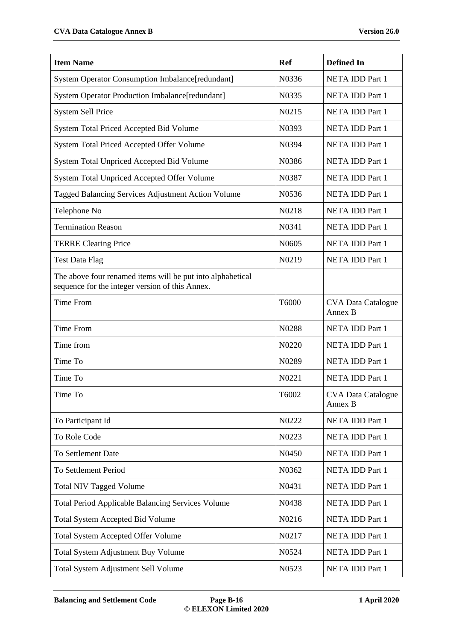| <b>Item Name</b>                                                                                              | <b>Ref</b>        | <b>Defined In</b>                    |
|---------------------------------------------------------------------------------------------------------------|-------------------|--------------------------------------|
| <b>System Operator Consumption Imbalance[redundant]</b>                                                       | N0336             | <b>NETA IDD Part 1</b>               |
| System Operator Production Imbalance[redundant]                                                               | N0335             | <b>NETA IDD Part 1</b>               |
| <b>System Sell Price</b>                                                                                      | N0215             | NETA IDD Part 1                      |
| System Total Priced Accepted Bid Volume                                                                       | N0393             | <b>NETA IDD Part 1</b>               |
| System Total Priced Accepted Offer Volume                                                                     | N0394             | NETA IDD Part 1                      |
| System Total Unpriced Accepted Bid Volume                                                                     | N0386             | NETA IDD Part 1                      |
| System Total Unpriced Accepted Offer Volume                                                                   | N0387             | <b>NETA IDD Part 1</b>               |
| Tagged Balancing Services Adjustment Action Volume                                                            | N0536             | NETA IDD Part 1                      |
| Telephone No                                                                                                  | N0218             | <b>NETA IDD Part 1</b>               |
| <b>Termination Reason</b>                                                                                     | N0341             | NETA IDD Part 1                      |
| <b>TERRE Clearing Price</b>                                                                                   | N0605             | NETA IDD Part 1                      |
| <b>Test Data Flag</b>                                                                                         | N0219             | NETA IDD Part 1                      |
| The above four renamed items will be put into alphabetical<br>sequence for the integer version of this Annex. |                   |                                      |
| <b>Time From</b>                                                                                              | T6000             | <b>CVA Data Catalogue</b><br>Annex B |
| <b>Time From</b>                                                                                              | N0288             | NETA IDD Part 1                      |
| Time from                                                                                                     | N0220             | NETA IDD Part 1                      |
| Time To                                                                                                       | N0289             | NETA IDD Part 1                      |
| Time To                                                                                                       | N0221             | <b>NETA IDD Part 1</b>               |
| Time To                                                                                                       | T6002             | <b>CVA Data Catalogue</b><br>Annex B |
| To Participant Id                                                                                             | N0222             | NETA IDD Part 1                      |
| To Role Code                                                                                                  | N0223             | NETA IDD Part 1                      |
| To Settlement Date                                                                                            | N <sub>0450</sub> | NETA IDD Part 1                      |
| To Settlement Period                                                                                          | N0362             | NETA IDD Part 1                      |
| <b>Total NIV Tagged Volume</b>                                                                                | N0431             | NETA IDD Part 1                      |
| <b>Total Period Applicable Balancing Services Volume</b>                                                      | N0438             | NETA IDD Part 1                      |
| <b>Total System Accepted Bid Volume</b>                                                                       | N0216             | NETA IDD Part 1                      |
| <b>Total System Accepted Offer Volume</b>                                                                     | N0217             | NETA IDD Part 1                      |
| Total System Adjustment Buy Volume                                                                            | N0524             | NETA IDD Part 1                      |
| Total System Adjustment Sell Volume                                                                           | N0523             | NETA IDD Part 1                      |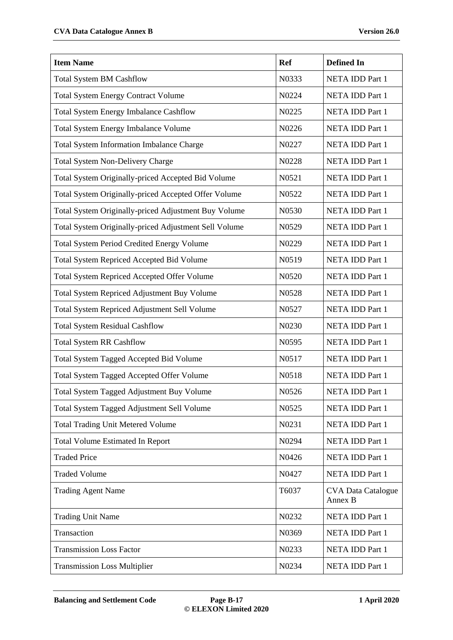| <b>Item Name</b>                                      | <b>Ref</b>        | <b>Defined In</b>                    |
|-------------------------------------------------------|-------------------|--------------------------------------|
| <b>Total System BM Cashflow</b>                       | N0333             | <b>NETA IDD Part 1</b>               |
| <b>Total System Energy Contract Volume</b>            | N0224             | <b>NETA IDD Part 1</b>               |
| <b>Total System Energy Imbalance Cashflow</b>         | N0225             | NETA IDD Part 1                      |
| <b>Total System Energy Imbalance Volume</b>           | N0226             | NETA IDD Part 1                      |
| Total System Information Imbalance Charge             | N0227             | NETA IDD Part 1                      |
| <b>Total System Non-Delivery Charge</b>               | N0228             | NETA IDD Part 1                      |
| Total System Originally-priced Accepted Bid Volume    | N0521             | NETA IDD Part 1                      |
| Total System Originally-priced Accepted Offer Volume  | N0522             | NETA IDD Part 1                      |
| Total System Originally-priced Adjustment Buy Volume  | N0530             | NETA IDD Part 1                      |
| Total System Originally-priced Adjustment Sell Volume | N0529             | NETA IDD Part 1                      |
| <b>Total System Period Credited Energy Volume</b>     | N0229             | NETA IDD Part 1                      |
| Total System Repriced Accepted Bid Volume             | N0519             | NETA IDD Part 1                      |
| <b>Total System Repriced Accepted Offer Volume</b>    | N0520             | NETA IDD Part 1                      |
| Total System Repriced Adjustment Buy Volume           | N0528             | NETA IDD Part 1                      |
| Total System Repriced Adjustment Sell Volume          | N0527             | NETA IDD Part 1                      |
| <b>Total System Residual Cashflow</b>                 | N0230             | NETA IDD Part 1                      |
| <b>Total System RR Cashflow</b>                       | N0595             | NETA IDD Part 1                      |
| Total System Tagged Accepted Bid Volume               | N0517             | NETA IDD Part 1                      |
| <b>Total System Tagged Accepted Offer Volume</b>      | N0518             | NETA IDD Part 1                      |
| Total System Tagged Adjustment Buy Volume             | N <sub>0526</sub> | <b>NETA IDD Part 1</b>               |
| Total System Tagged Adjustment Sell Volume            | N0525             | NETA IDD Part 1                      |
| <b>Total Trading Unit Metered Volume</b>              | N0231             | NETA IDD Part 1                      |
| <b>Total Volume Estimated In Report</b>               | N0294             | NETA IDD Part 1                      |
| <b>Traded Price</b>                                   | N0426             | NETA IDD Part 1                      |
| <b>Traded Volume</b>                                  | N0427             | NETA IDD Part 1                      |
| <b>Trading Agent Name</b>                             | T6037             | <b>CVA Data Catalogue</b><br>Annex B |
| <b>Trading Unit Name</b>                              | N0232             | NETA IDD Part 1                      |
| Transaction                                           | N0369             | NETA IDD Part 1                      |
| <b>Transmission Loss Factor</b>                       | N0233             | NETA IDD Part 1                      |
| <b>Transmission Loss Multiplier</b>                   | N0234             | NETA IDD Part 1                      |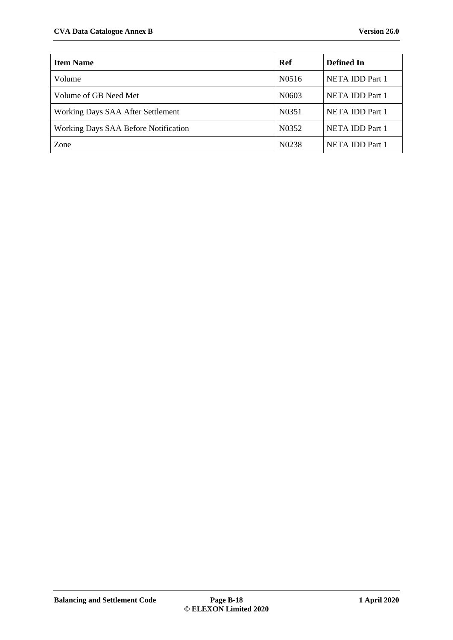| <b>Item Name</b>                     | Ref                | Defined In             |
|--------------------------------------|--------------------|------------------------|
| Volume                               | N0516              | NETA IDD Part 1        |
| Volume of GB Need Met                | N <sub>06</sub> 03 | NETA IDD Part 1        |
| Working Days SAA After Settlement    | N0351              | NETA IDD Part 1        |
| Working Days SAA Before Notification | N <sub>0</sub> 352 | <b>NETA IDD Part 1</b> |
| Zone                                 | N <sub>0</sub> 238 | NETA IDD Part 1        |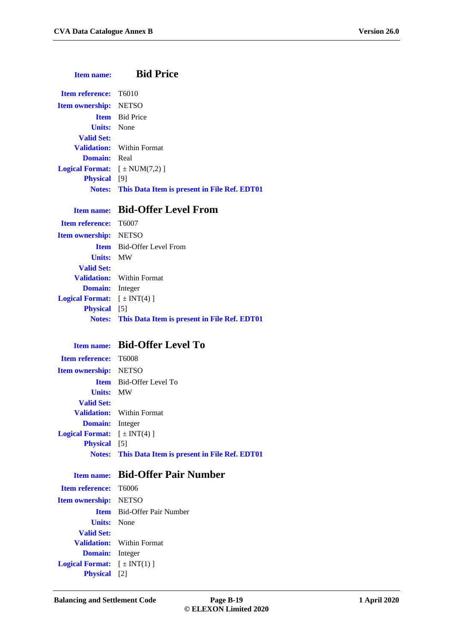#### **Item name: Bid Price**

| <b>Item reference:</b> T6010                   |                                                            |
|------------------------------------------------|------------------------------------------------------------|
| <b>Item ownership:</b> NETSO                   |                                                            |
|                                                | <b>Item</b> Bid Price                                      |
| <b>Units:</b> None                             |                                                            |
| <b>Valid Set:</b>                              |                                                            |
|                                                | <b>Validation:</b> Within Format                           |
| <b>Domain:</b> Real                            |                                                            |
| <b>Logical Format:</b> $[\pm \text{NUM}(7,2)]$ |                                                            |
| <b>Physical</b> [9]                            |                                                            |
|                                                | <b>Notes:</b> This Data Item is present in File Ref. EDT01 |
|                                                |                                                            |

### **Item name: Bid-Offer Level From**

**Item reference:** T6007 **Item ownership:** NETSO **Item** Bid-Offer Level From **Units:** MW **Valid Set: Validation:** Within Format **Domain:** Integer **Logical Format:**  $[\pm \text{INT}(4)]$ **Physical** [5] **Notes: This Data Item is present in File Ref. EDT01**

#### **Item name: Bid-Offer Level To**

| <b>Item reference:</b> T6008                 |                                                            |
|----------------------------------------------|------------------------------------------------------------|
|                                              |                                                            |
| <b>Item ownership:</b> NETSO                 |                                                            |
|                                              | <b>Item</b> Bid-Offer Level To                             |
| <b>Units: MW</b>                             |                                                            |
| <b>Valid Set:</b>                            |                                                            |
|                                              | <b>Validation:</b> Within Format                           |
| <b>Domain:</b> Integer                       |                                                            |
| <b>Logical Format:</b> $[\pm \text{INT}(4)]$ |                                                            |
| <b>Physical</b> [5]                          |                                                            |
|                                              | <b>Notes:</b> This Data Item is present in File Ref. EDT01 |

**Item reference:** T6006 **Item ownership:** NETSO **Units:** None **Valid Set: Domain:** Integer **Logical Format:**  $[\pm \text{INT}(1)]$ **Physical** [2]

#### **Item name: Bid-Offer Pair Number**

**Item** Bid-Offer Pair Number **Validation:** Within Format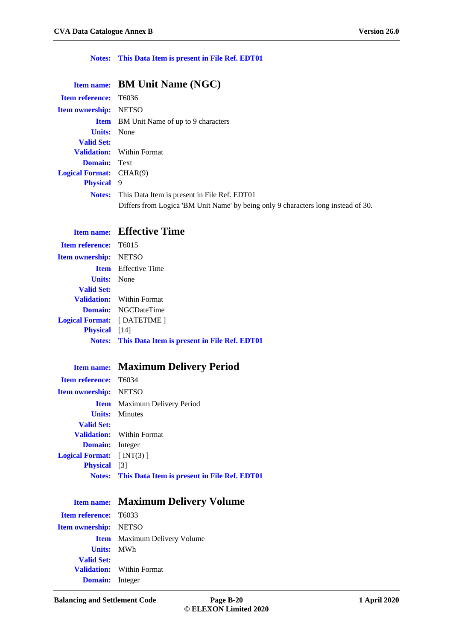#### **Notes: This Data Item is present in File Ref. EDT01**

|                                | Item name: BM Unit Name (NGC)                                                     |
|--------------------------------|-----------------------------------------------------------------------------------|
| <b>Item reference:</b> T6036   |                                                                                   |
| <b>Item ownership:</b> NETSO   |                                                                                   |
|                                | <b>Item</b> BM Unit Name of up to 9 characters                                    |
| <b>Units:</b> None             |                                                                                   |
| <b>Valid Set:</b>              |                                                                                   |
|                                | <b>Validation:</b> Within Format                                                  |
| <b>Domain:</b> Text            |                                                                                   |
| <b>Logical Format:</b> CHAR(9) |                                                                                   |
| <b>Physical</b> 9              |                                                                                   |
| <b>Notes:</b>                  | This Data Item is present in File Ref. EDT01                                      |
|                                | Differs from Logica 'BM Unit Name' by being only 9 characters long instead of 30. |

## **Item name: Effective Time**

| <b>Item reference:</b> T6015                               |
|------------------------------------------------------------|
| <b>Item ownership:</b> NETSO                               |
| <b>Item</b> Effective Time                                 |
| <b>Units:</b> None                                         |
|                                                            |
| <b>Validation:</b> Within Format                           |
| <b>Domain:</b> NGCDateTime                                 |
| <b>Logical Format:</b> [DATETIME]                          |
| <b>Physical</b> [14]                                       |
| <b>Notes:</b> This Data Item is present in File Ref. EDT01 |
|                                                            |

## **Item name: Maximum Delivery Period**

| <b>Item reference:</b> T6034     |                                                            |
|----------------------------------|------------------------------------------------------------|
| <b>Item ownership:</b> NETSO     |                                                            |
|                                  | <b>Item</b> Maximum Delivery Period                        |
|                                  | <b>Units:</b> Minutes                                      |
| <b>Valid Set:</b>                |                                                            |
|                                  | <b>Validation:</b> Within Format                           |
| <b>Domain:</b> Integer           |                                                            |
| <b>Logical Format:</b> $[NT(3)]$ |                                                            |
| <b>Physical</b> [3]              |                                                            |
|                                  | <b>Notes:</b> This Data Item is present in File Ref. EDT01 |

**Item name: Maximum Delivery Volume**

| <b>Item reference:</b> T6033 |                                     |
|------------------------------|-------------------------------------|
| <b>Item ownership:</b> NETSO |                                     |
|                              | <b>Item</b> Maximum Delivery Volume |
| <b>Units: MWh</b>            |                                     |
| <b>Valid Set:</b>            |                                     |
|                              | <b>Validation:</b> Within Format    |
| <b>Domain:</b> Integer       |                                     |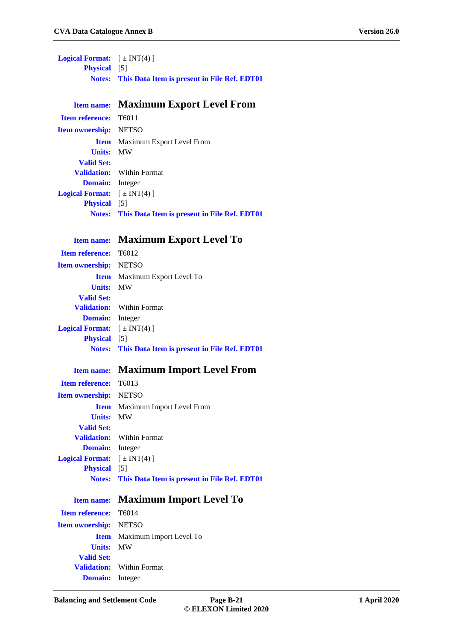**Logical Format:**  $[\pm \text{INT}(4)]$ **Physical** [5] **Notes: This Data Item is present in File Ref. EDT01**

**Item name: Maximum Export Level From**

**Item reference:** T6011 **Item ownership:** NETSO **Item** Maximum Export Level From **Units:** MW **Valid Set: Validation:** Within Format **Domain:** Integer **Logical Format:**  $[\pm \text{INT}(4)]$ **Physical** [5] **Notes: This Data Item is present in File Ref. EDT01**

#### **Item name: Maximum Export Level To**

**Item reference:** T6012 **Item ownership:** NETSO **Item** Maximum Export Level To **Units:** MW **Valid Set: Validation:** Within Format **Domain:** Integer **Logical Format:**  $[\pm INT(4)]$ **Physical** [5] **Notes: This Data Item is present in File Ref. EDT01**

#### **Item name: Maximum Import Level From**

| <b>Item reference:</b> T6013          |                                                     |
|---------------------------------------|-----------------------------------------------------|
| <b>Item ownership:</b> NETSO          |                                                     |
|                                       | <b>Item</b> Maximum Import Level From               |
| <b>Units: MW</b>                      |                                                     |
| <b>Valid Set:</b>                     |                                                     |
|                                       | <b>Validation:</b> Within Format                    |
| <b>Domain:</b> Integer                |                                                     |
| <b>Logical Format:</b> $[\pm INT(4)]$ |                                                     |
| <b>Physical</b> [5]                   |                                                     |
|                                       |                                                     |
|                                       | Notes: This Data Item is present in File Ref. EDT01 |
| <b>Item name:</b>                     | <b>Maximum Import Level To</b>                      |
| <b>Item reference:</b> T6014          |                                                     |
| <b>Item ownership:</b> NETSO          |                                                     |
|                                       | <b>Item</b> Maximum Import Level To                 |
| <b>Units:</b>                         | MW                                                  |
| <b>Valid Set:</b>                     |                                                     |
|                                       | <b>Validation:</b> Within Format                    |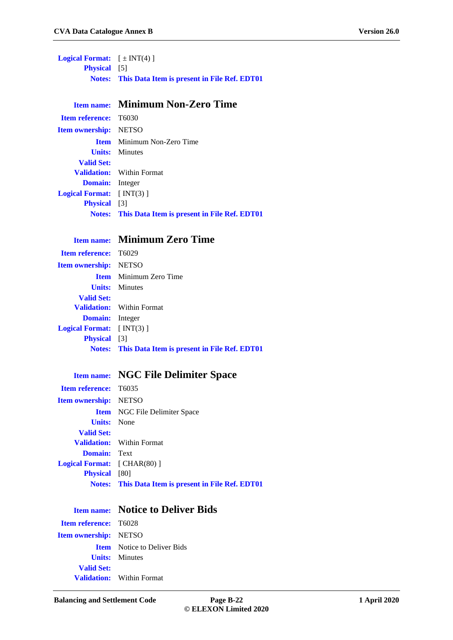**Logical Format:**  $[\pm \text{INT}(4)]$ **Physical** [5] **Notes: This Data Item is present in File Ref. EDT01**

#### **Item name: Minimum Non-Zero Time**

**Item reference:** T6030 **Item ownership:** NETSO **Item** Minimum Non-Zero Time **Units:** Minutes **Valid Set: Validation:** Within Format **Domain:** Integer **Logical Format:** [ INT(3) ] **Physical** [3] **Notes: This Data Item is present in File Ref. EDT01**

#### **Item name: Minimum Zero Time**

| <b>Item reference:</b> T6029     |                                                            |
|----------------------------------|------------------------------------------------------------|
| <b>Item ownership:</b> NETSO     |                                                            |
|                                  | <b>Item</b> Minimum Zero Time                              |
|                                  | <b>Units:</b> Minutes                                      |
| <b>Valid Set:</b>                |                                                            |
|                                  | <b>Validation:</b> Within Format                           |
| <b>Domain:</b> Integer           |                                                            |
| <b>Logical Format:</b> $[NT(3)]$ |                                                            |
| <b>Physical</b> [3]              |                                                            |
|                                  | <b>Notes:</b> This Data Item is present in File Ref. EDT01 |
|                                  |                                                            |

#### **Item name: NGC File Delimiter Space**

| <b>Item reference:</b> T6035        |                                                            |
|-------------------------------------|------------------------------------------------------------|
| <b>Item ownership:</b> NETSO        |                                                            |
|                                     | <b>Item</b> NGC File Delimiter Space                       |
| <b>Units:</b> None                  |                                                            |
| <b>Valid Set:</b>                   |                                                            |
|                                     | <b>Validation:</b> Within Format                           |
| <b>Domain:</b> Text                 |                                                            |
| <b>Logical Format:</b> $[CHAR(80)]$ |                                                            |
| <b>Physical</b> [80]                |                                                            |
|                                     | <b>Notes:</b> This Data Item is present in File Ref. EDT01 |

|                              | <b>Item name:</b> Notice to Deliver Bids |
|------------------------------|------------------------------------------|
| <b>Item reference:</b> T6028 |                                          |
| <b>Item ownership:</b> NETSO |                                          |
|                              | <b>Item</b> Notice to Deliver Bids       |
|                              | <b>Units:</b> Minutes                    |
| <b>Valid Set:</b>            |                                          |
|                              | <b>Validation:</b> Within Format         |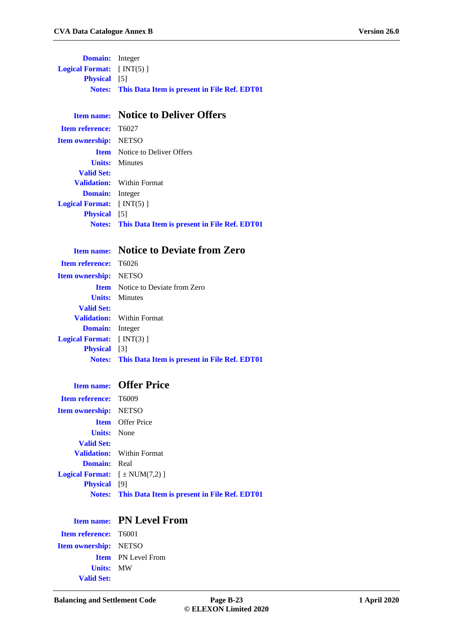**Domain:** Integer **Logical Format:** [ INT(5) ] **Physical** [5] **Notes: This Data Item is present in File Ref. EDT01**

#### **Item name: Notice to Deliver Offers**

**Item reference:** T6027 **Item ownership:** NETSO **Item** Notice to Deliver Offers **Units:** Minutes **Valid Set: Validation:** Within Format **Domain:** Integer **Logical Format:** [ INT(5) ] **Physical** [5] **Notes: This Data Item is present in File Ref. EDT01**

#### **Item name: Notice to Deviate from Zero**

| <b>Item reference:</b> T6026                               |
|------------------------------------------------------------|
| <b>Item ownership:</b> NETSO                               |
| <b>Item</b> Notice to Deviate from Zero                    |
| <b>Units:</b> Minutes                                      |
|                                                            |
| <b>Validation:</b> Within Format                           |
| <b>Domain:</b> Integer                                     |
| <b>Logical Format:</b> $[NT(3)]$                           |
| <b>Physical</b> [3]                                        |
| <b>Notes:</b> This Data Item is present in File Ref. EDT01 |
|                                                            |

#### **Item name: Offer Price**

| <b>Item reference: T6009</b>                   |                                                            |
|------------------------------------------------|------------------------------------------------------------|
| <b>Item ownership:</b> NETSO                   |                                                            |
|                                                | <b>Item</b> Offer Price                                    |
| <b>Units:</b> None                             |                                                            |
| <b>Valid Set:</b>                              |                                                            |
|                                                | <b>Validation:</b> Within Format                           |
| <b>Domain:</b> Real                            |                                                            |
| <b>Logical Format:</b> $[\pm \text{NUM}(7,2)]$ |                                                            |
| <b>Physical</b> [9]                            |                                                            |
|                                                | <b>Notes:</b> This Data Item is present in File Ref. EDT01 |

#### **Item name: PN Level From**

**Item reference:** T6001 **Item ownership:** NETSO **Item** PN Level From **Units:** MW **Valid Set:**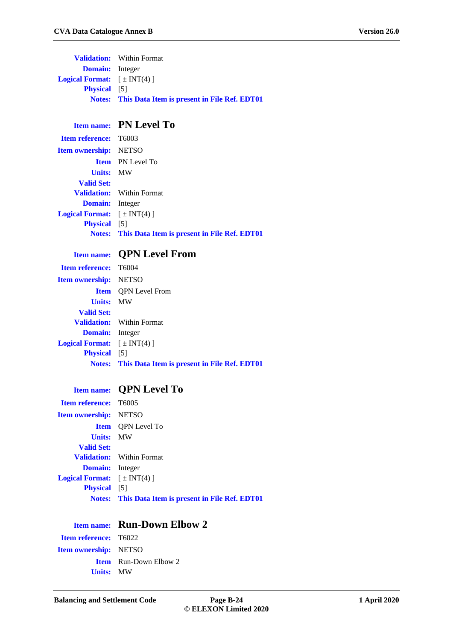|                                              | <b>Validation:</b> Within Format                           |
|----------------------------------------------|------------------------------------------------------------|
| <b>Domain:</b> Integer                       |                                                            |
| <b>Logical Format:</b> $[\pm \text{INT}(4)]$ |                                                            |
| <b>Physical</b> [5]                          |                                                            |
|                                              | <b>Notes:</b> This Data Item is present in File Ref. EDT01 |

## **Item name: PN Level To**

|                                              | <b>Notes:</b> This Data Item is present in File Ref. EDT01 |
|----------------------------------------------|------------------------------------------------------------|
| <b>Physical</b> [5]                          |                                                            |
| <b>Logical Format:</b> $[\pm \text{INT}(4)]$ |                                                            |
| <b>Domain:</b> Integer                       |                                                            |
|                                              | <b>Validation:</b> Within Format                           |
| <b>Valid Set:</b>                            |                                                            |
| <b>Units: MW</b>                             |                                                            |
|                                              | <b>Item</b> PN Level To                                    |
| <b>Item ownership:</b> NETSO                 |                                                            |
| <b>Item reference:</b> T6003                 |                                                            |

### **Item name: QPN Level From**

|                                              | <b>Notes:</b> This Data Item is present in File Ref. EDT01 |
|----------------------------------------------|------------------------------------------------------------|
| <b>Physical</b> [5]                          |                                                            |
| <b>Logical Format:</b> $[\pm \text{INT}(4)]$ |                                                            |
| <b>Domain:</b> Integer                       |                                                            |
|                                              | <b>Validation:</b> Within Format                           |
| <b>Valid Set:</b>                            |                                                            |
| <b>Units: MW</b>                             |                                                            |
|                                              | <b>Item</b> OPN Level From                                 |
| <b>Item ownership:</b> NETSO                 |                                                            |
| <b>Item reference:</b> T6004                 |                                                            |
|                                              |                                                            |

## **Item name: QPN Level To**

| <b>Item reference:</b> T6005                 |                                                            |
|----------------------------------------------|------------------------------------------------------------|
| <b>Item ownership:</b> NETSO                 |                                                            |
|                                              | <b>Item</b> OPN Level To                                   |
| <b>Units: MW</b>                             |                                                            |
| <b>Valid Set:</b>                            |                                                            |
|                                              | <b>Validation:</b> Within Format                           |
| <b>Domain:</b> Integer                       |                                                            |
| <b>Logical Format:</b> $[\pm \text{INT}(4)]$ |                                                            |
| <b>Physical</b> [5]                          |                                                            |
|                                              | <b>Notes:</b> This Data Item is present in File Ref. EDT01 |

|                              | <b>Item name:</b> Run-Down Elbow 2 |
|------------------------------|------------------------------------|
| <b>Item reference:</b> T6022 |                                    |
| <b>Item ownership:</b> NETSO |                                    |
|                              | <b>Item</b> Run-Down Elbow 2       |
| <b>Units: MW</b>             |                                    |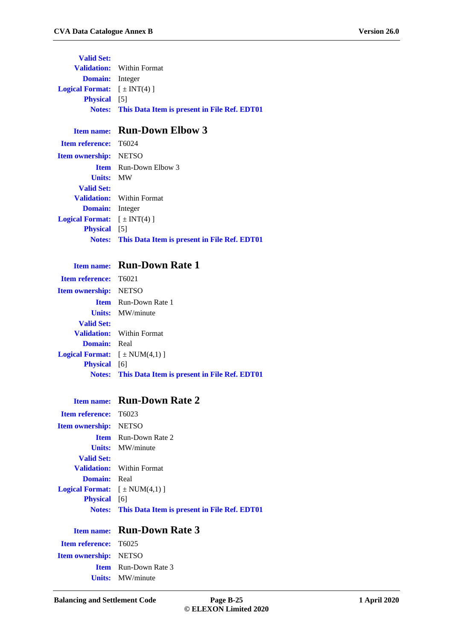**Valid Set: Validation:** Within Format **Domain:** Integer **Logical Format:**  $[\pm \text{INT}(4)]$ **Physical** [5] **Notes: This Data Item is present in File Ref. EDT01**

### **Item name: Run-Down Elbow 3**

| <b>Item reference:</b> T6024                 |                                                            |
|----------------------------------------------|------------------------------------------------------------|
| <b>Item ownership:</b> NETSO                 |                                                            |
|                                              | <b>Item</b> Run-Down Elbow 3                               |
| <b>Units: MW</b>                             |                                                            |
| <b>Valid Set:</b>                            |                                                            |
|                                              | <b>Validation:</b> Within Format                           |
| <b>Domain:</b> Integer                       |                                                            |
| <b>Logical Format:</b> $[\pm \text{INT}(4)]$ |                                                            |
| <b>Physical</b> [5]                          |                                                            |
|                                              | <b>Notes:</b> This Data Item is present in File Ref. EDT01 |
|                                              |                                                            |

### **Item name: Run-Down Rate 1**

| <b>Item reference:</b> T6021                   |                                                            |
|------------------------------------------------|------------------------------------------------------------|
| <b>Item ownership:</b> NETSO                   |                                                            |
|                                                | <b>Item</b> Run-Down Rate 1                                |
|                                                | <b>Units:</b> MW/minute                                    |
| <b>Valid Set:</b>                              |                                                            |
|                                                | <b>Validation:</b> Within Format                           |
| <b>Domain:</b> Real                            |                                                            |
| <b>Logical Format:</b> $[\pm \text{NUM}(4,1)]$ |                                                            |
| <b>Physical</b> [6]                            |                                                            |
|                                                | <b>Notes:</b> This Data Item is present in File Ref. EDT01 |

#### **Item name: Run-Down Rate 2**

| <b>Item reference:</b> T6023                   |                                                            |
|------------------------------------------------|------------------------------------------------------------|
| <b>Item ownership:</b> NETSO                   |                                                            |
|                                                | <b>Item</b> Run-Down Rate 2                                |
|                                                | <b>Units:</b> MW/minute                                    |
| <b>Valid Set:</b>                              |                                                            |
|                                                | <b>Validation:</b> Within Format                           |
| <b>Domain:</b> Real                            |                                                            |
| <b>Logical Format:</b> $[\pm \text{NUM}(4,1)]$ |                                                            |
| <b>Physical</b> [6]                            |                                                            |
|                                                | <b>Notes:</b> This Data Item is present in File Ref. EDT01 |
|                                                |                                                            |

## **Item name: Run-Down Rate 3**

| <b>Item reference:</b> T6025 |
|------------------------------|
| <b>Item ownership:</b> NETSO |
| <b>Item</b> Run-Down Rate 3  |
| <b>Units:</b> MW/minute      |
|                              |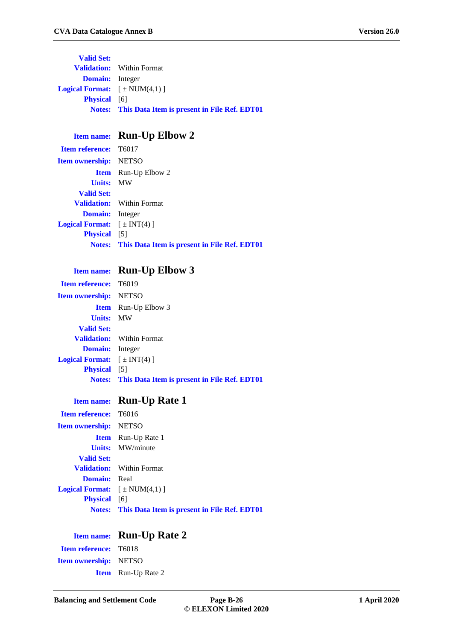**Valid Set: Validation:** Within Format **Domain:** Integer **Logical Format:**  $[\pm \text{NUM}(4,1)]$ **Physical** [6] **Notes: This Data Item is present in File Ref. EDT01**

### **Item name: Run-Up Elbow 2**

| <b>Item reference:</b> T6017                 |                                                            |
|----------------------------------------------|------------------------------------------------------------|
| <b>Item ownership:</b> NETSO                 |                                                            |
|                                              | <b>Item</b> Run-Up Elbow 2                                 |
| <b>Units: MW</b>                             |                                                            |
| <b>Valid Set:</b>                            |                                                            |
|                                              | <b>Validation:</b> Within Format                           |
| <b>Domain:</b> Integer                       |                                                            |
| <b>Logical Format:</b> $[\pm \text{INT}(4)]$ |                                                            |
| <b>Physical</b> [5]                          |                                                            |
|                                              | <b>Notes:</b> This Data Item is present in File Ref. EDT01 |
|                                              |                                                            |

#### **Item name: Run-Up Elbow 3**

| <b>Item reference:</b> T6019                 |                                                            |
|----------------------------------------------|------------------------------------------------------------|
| <b>Item ownership:</b> NETSO                 |                                                            |
|                                              | <b>Item</b> Run-Up Elbow 3                                 |
| <b>Units: MW</b>                             |                                                            |
| <b>Valid Set:</b>                            |                                                            |
|                                              | <b>Validation:</b> Within Format                           |
| <b>Domain:</b> Integer                       |                                                            |
| <b>Logical Format:</b> $[\pm \text{INT}(4)]$ |                                                            |
| <b>Physical</b> [5]                          |                                                            |
|                                              | <b>Notes:</b> This Data Item is present in File Ref. EDT01 |

## **Item name: Run-Up Rate 1**

| <b>Item reference:</b> T6016                   |                                                            |
|------------------------------------------------|------------------------------------------------------------|
| <b>Item ownership:</b> NETSO                   |                                                            |
|                                                | <b>Item</b> Run-Up Rate 1                                  |
|                                                | <b>Units:</b> MW/minute                                    |
| <b>Valid Set:</b>                              |                                                            |
|                                                | <b>Validation:</b> Within Format                           |
| <b>Domain:</b> Real                            |                                                            |
| <b>Logical Format:</b> $[\pm \text{NUM}(4,1)]$ |                                                            |
| <b>Physical</b> [6]                            |                                                            |
|                                                | <b>Notes:</b> This Data Item is present in File Ref. EDT01 |

|                              | Item name: Run-Up Rate 2  |
|------------------------------|---------------------------|
| <b>Item reference:</b> T6018 |                           |
| <b>Item ownership:</b> NETSO |                           |
|                              | <b>Item</b> Run-Up Rate 2 |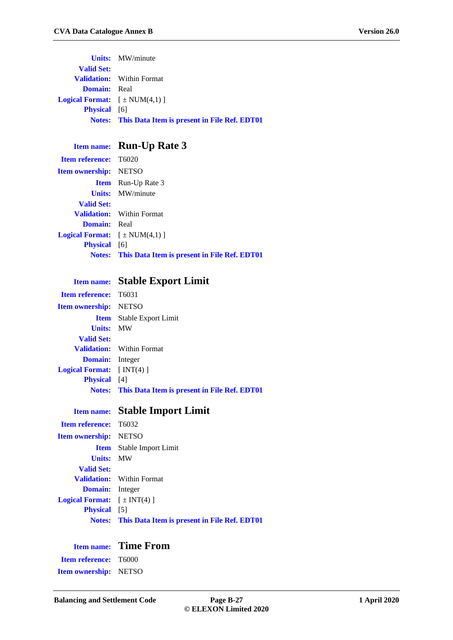|                                         | <b>Units:</b> MW/minute                                    |
|-----------------------------------------|------------------------------------------------------------|
| <b>Valid Set:</b>                       |                                                            |
|                                         | <b>Validation:</b> Within Format                           |
| <b>Domain:</b> Real                     |                                                            |
| <b>Logical Format:</b> $[\pm NUM(4,1)]$ |                                                            |
| <b>Physical</b> [6]                     |                                                            |
|                                         | <b>Notes:</b> This Data Item is present in File Ref. EDT01 |

### **Item name: Run-Up Rate 3**

| <b>Item reference:</b> T6020                   |                                                            |
|------------------------------------------------|------------------------------------------------------------|
| <b>Item ownership:</b> NETSO                   |                                                            |
|                                                | <b>Item</b> Run-Up Rate 3                                  |
|                                                | <b>Units:</b> MW/minute                                    |
| <b>Valid Set:</b>                              |                                                            |
|                                                | <b>Validation:</b> Within Format                           |
| <b>Domain:</b> Real                            |                                                            |
| <b>Logical Format:</b> $[\pm \text{NUM}(4,1)]$ |                                                            |
| <b>Physical</b> [6]                            |                                                            |
|                                                | <b>Notes:</b> This Data Item is present in File Ref. EDT01 |
|                                                |                                                            |

## **Item name: Stable Export Limit**

| <b>Item reference:</b> T6031     |                                                            |
|----------------------------------|------------------------------------------------------------|
| <b>Item ownership:</b> NETSO     |                                                            |
|                                  | <b>Item</b> Stable Export Limit                            |
| <b>Units: MW</b>                 |                                                            |
| <b>Valid Set:</b>                |                                                            |
|                                  | <b>Validation:</b> Within Format                           |
| <b>Domain:</b> Integer           |                                                            |
| <b>Logical Format:</b> $[NT(4)]$ |                                                            |
| <b>Physical</b> [4]              |                                                            |
|                                  | <b>Notes:</b> This Data Item is present in File Ref. EDT01 |
|                                  |                                                            |

|                                              | <b>Item name:</b> Stable Import Limit                      |
|----------------------------------------------|------------------------------------------------------------|
| <b>Item reference:</b> T6032                 |                                                            |
| <b>Item ownership:</b> NETSO                 |                                                            |
|                                              | <b>Item</b> Stable Import Limit                            |
| <b>Units: MW</b>                             |                                                            |
| <b>Valid Set:</b>                            |                                                            |
|                                              | <b>Validation:</b> Within Format                           |
| <b>Domain:</b> Integer                       |                                                            |
| <b>Logical Format:</b> $[\pm \text{INT}(4)]$ |                                                            |
| <b>Physical</b> [5]                          |                                                            |
|                                              | <b>Notes:</b> This Data Item is present in File Ref. EDT01 |

# **Item name: Time From**

**Item reference:** T6000 **Item ownership:** NETSO